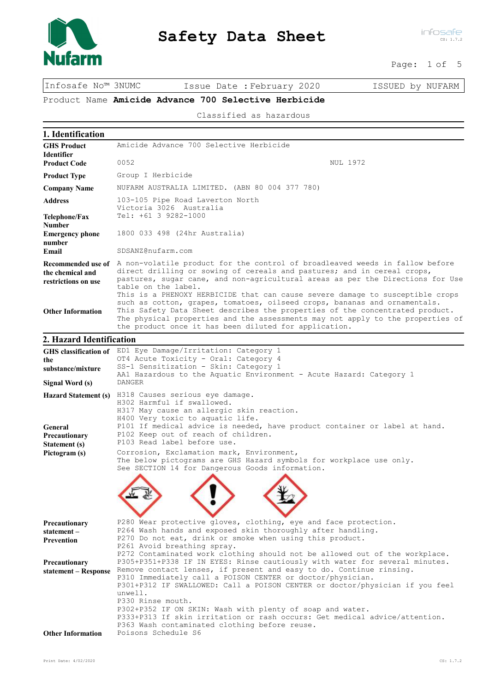

Page: 1 of 5

Infosafe No™ 3NUMC Issue Date :February 2020 ISSUED by NUFARM

Product Name Amicide Advance 700 Selective Herbicide

Classified as hazardous

| 1. Identification                                          |                                                                                                                                                                                                                                                                                                                                                                                                                                                                                                |  |  |  |
|------------------------------------------------------------|------------------------------------------------------------------------------------------------------------------------------------------------------------------------------------------------------------------------------------------------------------------------------------------------------------------------------------------------------------------------------------------------------------------------------------------------------------------------------------------------|--|--|--|
| <b>GHS Product</b><br><b>Identifier</b>                    | Amicide Advance 700 Selective Herbicide                                                                                                                                                                                                                                                                                                                                                                                                                                                        |  |  |  |
| <b>Product Code</b>                                        | 0052<br><b>NUL 1972</b>                                                                                                                                                                                                                                                                                                                                                                                                                                                                        |  |  |  |
| <b>Product Type</b>                                        | Group I Herbicide                                                                                                                                                                                                                                                                                                                                                                                                                                                                              |  |  |  |
| <b>Company Name</b>                                        | NUFARM AUSTRALIA LIMITED. (ABN 80 004 377 780)                                                                                                                                                                                                                                                                                                                                                                                                                                                 |  |  |  |
| <b>Address</b>                                             | 103-105 Pipe Road Laverton North                                                                                                                                                                                                                                                                                                                                                                                                                                                               |  |  |  |
| Telephone/Fax                                              | Victoria 3026 Australia<br>Tel: +61 3 9282-1000                                                                                                                                                                                                                                                                                                                                                                                                                                                |  |  |  |
| <b>Number</b><br><b>Emergency phone</b>                    | 1800 033 498 (24hr Australia)                                                                                                                                                                                                                                                                                                                                                                                                                                                                  |  |  |  |
| number<br>Email                                            | SDSANZ@nufarm.com                                                                                                                                                                                                                                                                                                                                                                                                                                                                              |  |  |  |
| the chemical and<br>restrictions on use                    | Recommended use of A non-volatile product for the control of broadleaved weeds in fallow before<br>direct drilling or sowing of cereals and pastures; and in cereal crops,<br>pastures, sugar cane, and non-agricultural areas as per the Directions for Use<br>table on the label.                                                                                                                                                                                                            |  |  |  |
| <b>Other Information</b>                                   | This is a PHENOXY HERBICIDE that can cause severe damage to susceptible crops<br>such as cotton, grapes, tomatoes, oilseed crops, bananas and ornamentals.<br>This Safety Data Sheet describes the properties of the concentrated product.<br>The physical properties and the assessments may not apply to the properties of<br>the product once it has been diluted for application.                                                                                                          |  |  |  |
| 2. Hazard Identification                                   |                                                                                                                                                                                                                                                                                                                                                                                                                                                                                                |  |  |  |
|                                                            | GHS classification of ED1 Eye Damage/Irritation: Category 1                                                                                                                                                                                                                                                                                                                                                                                                                                    |  |  |  |
| the<br>substance/mixture                                   | OT4 Acute Toxicity - Oral: Category 4<br>SS-1 Sensitization - Skin: Category 1                                                                                                                                                                                                                                                                                                                                                                                                                 |  |  |  |
|                                                            | AA1 Hazardous to the Aquatic Environment - Acute Hazard: Category 1<br><b>DANGER</b>                                                                                                                                                                                                                                                                                                                                                                                                           |  |  |  |
| Signal Word (s)                                            |                                                                                                                                                                                                                                                                                                                                                                                                                                                                                                |  |  |  |
| General<br>Precautionary<br>Statement (s)<br>Pictogram (s) | Hazard Statement (s) H318 Causes serious eye damage.<br>H302 Harmful if swallowed.<br>H317 May cause an allergic skin reaction.<br>H400 Very toxic to aquatic life.<br>P101 If medical advice is needed, have product container or label at hand.<br>P102 Keep out of reach of children.<br>P103 Read label before use.<br>Corrosion, Exclamation mark, Environment,<br>The below pictograms are GHS Hazard symbols for workplace use only.<br>See SECTION 14 for Dangerous Goods information. |  |  |  |
|                                                            |                                                                                                                                                                                                                                                                                                                                                                                                                                                                                                |  |  |  |
| Precautionary<br>statement-<br><b>Prevention</b>           | P280 Wear protective gloves, clothing, eye and face protection.<br>P264 Wash hands and exposed skin thoroughly after handling.<br>P270 Do not eat, drink or smoke when using this product.<br>P261 Avoid breathing spray.<br>P272 Contaminated work clothing should not be allowed out of the workplace.                                                                                                                                                                                       |  |  |  |
| Precautionary<br>statement - Response                      | P305+P351+P338 IF IN EYES: Rinse cautiously with water for several minutes.<br>Remove contact lenses, if present and easy to do. Continue rinsing.<br>P310 Immediately call a POISON CENTER or doctor/physician.<br>P301+P312 IF SWALLOWED: Call a POISON CENTER or doctor/physician if you feel                                                                                                                                                                                               |  |  |  |
| <b>Other Information</b>                                   | unwell.<br>P330 Rinse mouth.<br>P302+P352 IF ON SKIN: Wash with plenty of soap and water.<br>P333+P313 If skin irritation or rash occurs: Get medical advice/attention.<br>P363 Wash contaminated clothing before reuse.<br>Poisons Schedule S6                                                                                                                                                                                                                                                |  |  |  |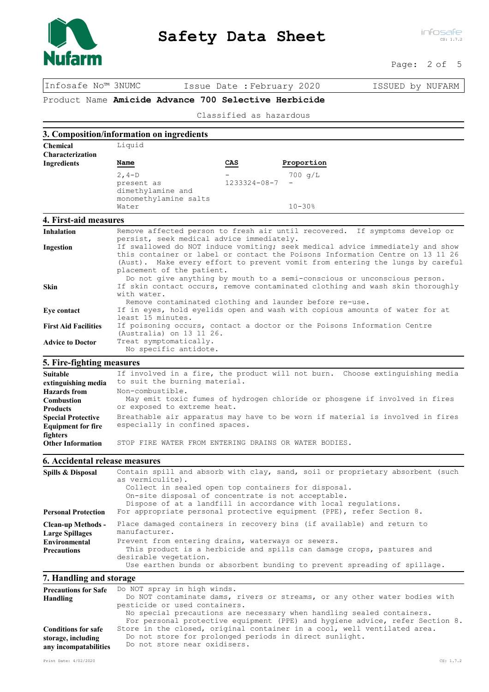

Page: 2 of 5

Infosafe No™ 3NUMC Issue Date :February 2020 ISSUED by NUFARM

Product Name Amicide Advance 700 Selective Herbicide

Classified as hazardous

|                                                                           | 3. Composition/information on ingredients                                                                                                                                                                                                                                    |              |                                                                                                                                                                             |                                                                                                                                                                                                                                     |
|---------------------------------------------------------------------------|------------------------------------------------------------------------------------------------------------------------------------------------------------------------------------------------------------------------------------------------------------------------------|--------------|-----------------------------------------------------------------------------------------------------------------------------------------------------------------------------|-------------------------------------------------------------------------------------------------------------------------------------------------------------------------------------------------------------------------------------|
| <b>Chemical</b>                                                           | Liquid                                                                                                                                                                                                                                                                       |              |                                                                                                                                                                             |                                                                                                                                                                                                                                     |
| <b>Characterization</b>                                                   |                                                                                                                                                                                                                                                                              |              |                                                                                                                                                                             |                                                                                                                                                                                                                                     |
| <b>Ingredients</b>                                                        | Name                                                                                                                                                                                                                                                                         | CAS          | Proportion                                                                                                                                                                  |                                                                                                                                                                                                                                     |
|                                                                           | $2, 4-D$                                                                                                                                                                                                                                                                     |              | $700 \text{ q/L}$                                                                                                                                                           |                                                                                                                                                                                                                                     |
|                                                                           | present as                                                                                                                                                                                                                                                                   | 1233324-08-7 |                                                                                                                                                                             |                                                                                                                                                                                                                                     |
|                                                                           | dimethylamine and                                                                                                                                                                                                                                                            |              |                                                                                                                                                                             |                                                                                                                                                                                                                                     |
|                                                                           | monomethylamine salts                                                                                                                                                                                                                                                        |              |                                                                                                                                                                             |                                                                                                                                                                                                                                     |
|                                                                           | Water                                                                                                                                                                                                                                                                        |              | $10 - 30%$                                                                                                                                                                  |                                                                                                                                                                                                                                     |
| 4. First-aid measures                                                     |                                                                                                                                                                                                                                                                              |              |                                                                                                                                                                             |                                                                                                                                                                                                                                     |
| <b>Inhalation</b>                                                         | Remove affected person to fresh air until recovered. If symptoms develop or<br>persist, seek medical advice immediately.                                                                                                                                                     |              |                                                                                                                                                                             |                                                                                                                                                                                                                                     |
| Ingestion                                                                 | If swallowed do NOT induce vomiting; seek medical advice immediately and show<br>this container or label or contact the Poisons Information Centre on 13 11 26<br>(Aust). Make every effort to prevent vomit from entering the lungs by careful<br>placement of the patient. |              |                                                                                                                                                                             |                                                                                                                                                                                                                                     |
| <b>Skin</b>                                                               | Do not give anything by mouth to a semi-conscious or unconscious person.<br>If skin contact occurs, remove contaminated clothing and wash skin thoroughly<br>with water.                                                                                                     |              |                                                                                                                                                                             |                                                                                                                                                                                                                                     |
| Eye contact                                                               | Remove contaminated clothing and launder before re-use.<br>If in eyes, hold eyelids open and wash with copious amounts of water for at<br>least 15 minutes.                                                                                                                  |              |                                                                                                                                                                             |                                                                                                                                                                                                                                     |
| <b>First Aid Facilities</b>                                               | (Australia) on 13 11 26.                                                                                                                                                                                                                                                     |              |                                                                                                                                                                             | If poisoning occurs, contact a doctor or the Poisons Information Centre                                                                                                                                                             |
| <b>Advice to Doctor</b>                                                   | Treat symptomatically.<br>No specific antidote.                                                                                                                                                                                                                              |              |                                                                                                                                                                             |                                                                                                                                                                                                                                     |
| 5. Fire-fighting measures                                                 |                                                                                                                                                                                                                                                                              |              |                                                                                                                                                                             |                                                                                                                                                                                                                                     |
| <b>Suitable</b>                                                           |                                                                                                                                                                                                                                                                              |              |                                                                                                                                                                             | If involved in a fire, the product will not burn. Choose extinguishing media                                                                                                                                                        |
| extinguishing media                                                       | to suit the burning material.                                                                                                                                                                                                                                                |              |                                                                                                                                                                             |                                                                                                                                                                                                                                     |
| <b>Hazards</b> from                                                       | Non-combustible.                                                                                                                                                                                                                                                             |              |                                                                                                                                                                             |                                                                                                                                                                                                                                     |
| Combustion<br><b>Products</b>                                             | May emit toxic fumes of hydrogen chloride or phosgene if involved in fires<br>or exposed to extreme heat.                                                                                                                                                                    |              |                                                                                                                                                                             |                                                                                                                                                                                                                                     |
| <b>Special Protective</b><br><b>Equipment for fire</b>                    | Breathable air apparatus may have to be worn if material is involved in fires<br>especially in confined spaces.                                                                                                                                                              |              |                                                                                                                                                                             |                                                                                                                                                                                                                                     |
| fighters<br><b>Other Information</b>                                      | STOP FIRE WATER FROM ENTERING DRAINS OR WATER BODIES.                                                                                                                                                                                                                        |              |                                                                                                                                                                             |                                                                                                                                                                                                                                     |
| 6. Accidental release measures                                            |                                                                                                                                                                                                                                                                              |              |                                                                                                                                                                             |                                                                                                                                                                                                                                     |
| Spills & Disposal                                                         | as vermiculite).                                                                                                                                                                                                                                                             |              | Collect in sealed open top containers for disposal.<br>On-site disposal of concentrate is not acceptable.<br>Dispose of at a landfill in accordance with local regulations. | Contain spill and absorb with clay, sand, soil or proprietary absorbent (such                                                                                                                                                       |
| <b>Personal Protection</b>                                                | For appropriate personal protective equipment (PPE), refer Section 8.                                                                                                                                                                                                        |              |                                                                                                                                                                             |                                                                                                                                                                                                                                     |
| <b>Clean-up Methods -</b><br><b>Large Spillages</b>                       | Place damaged containers in recovery bins (if available) and return to<br>manufacturer.                                                                                                                                                                                      |              |                                                                                                                                                                             |                                                                                                                                                                                                                                     |
| <b>Environmental</b><br><b>Precautions</b>                                | Prevent from entering drains, waterways or sewers.<br>This product is a herbicide and spills can damage crops, pastures and<br>desirable vegetation.<br>Use earthen bunds or absorbent bunding to prevent spreading of spillage.                                             |              |                                                                                                                                                                             |                                                                                                                                                                                                                                     |
| 7. Handling and storage                                                   |                                                                                                                                                                                                                                                                              |              |                                                                                                                                                                             |                                                                                                                                                                                                                                     |
| <b>Precautions for Safe</b><br>Handling                                   | Do NOT spray in high winds.<br>pesticide or used containers.                                                                                                                                                                                                                 |              |                                                                                                                                                                             | Do NOT contaminate dams, rivers or streams, or any other water bodies with<br>No special precautions are necessary when handling sealed containers.<br>For personal protective equipment (PPE) and hygiene advice, refer Section 8. |
| <b>Conditions for safe</b><br>storage, including<br>any incompatabilities | Do not store near oxidisers.                                                                                                                                                                                                                                                 |              | Do not store for prolonged periods in direct sunlight.                                                                                                                      | Store in the closed, original container in a cool, well ventilated area.                                                                                                                                                            |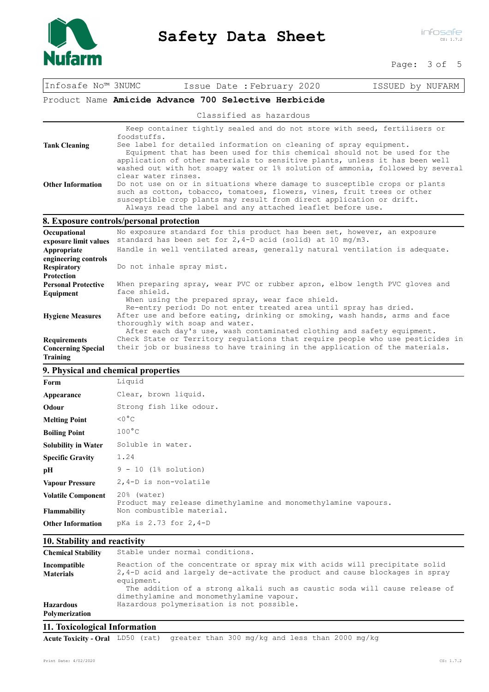

Page: 3 of 5

| Infosafe No™ 3NUMC         | Issue Date : February 2020                                                                                                                                    | ISSUED by NUFARM |
|----------------------------|---------------------------------------------------------------------------------------------------------------------------------------------------------------|------------------|
|                            | Product Name Amicide Advance 700 Selective Herbicide                                                                                                          |                  |
|                            | Classified as hazardous                                                                                                                                       |                  |
|                            | Keep container tightly sealed and do not store with seed, fertilisers or                                                                                      |                  |
|                            | foodstuffs.                                                                                                                                                   |                  |
| <b>Tank Cleaning</b>       | See label for detailed information on cleaning of spray equipment.                                                                                            |                  |
|                            | Equipment that has been used for this chemical should not be used for the                                                                                     |                  |
|                            | application of other materials to sensitive plants, unless it has been well<br>washed out with hot soapy water or 1% solution of ammonia, followed by several |                  |
|                            | clear water rinses.                                                                                                                                           |                  |
| <b>Other Information</b>   | Do not use on or in situations where damage to susceptible crops or plants                                                                                    |                  |
|                            | such as cotton, tobacco, tomatoes, flowers, vines, fruit trees or other                                                                                       |                  |
|                            | susceptible crop plants may result from direct application or drift.                                                                                          |                  |
|                            | Always read the label and any attached leaflet before use.                                                                                                    |                  |
|                            | 8. Exposure controls/personal protection                                                                                                                      |                  |
| Occupational               | No exposure standard for this product has been set, however, an exposure                                                                                      |                  |
| exposure limit values      | standard has been set for $2, 4-D$ acid (solid) at 10 mg/m3.                                                                                                  |                  |
| Appropriate                | Handle in well ventilated areas, generally natural ventilation is adequate.                                                                                   |                  |
| engineering controls       |                                                                                                                                                               |                  |
| <b>Respiratory</b>         | Do not inhale spray mist.                                                                                                                                     |                  |
| <b>Protection</b>          |                                                                                                                                                               |                  |
| <b>Personal Protective</b> | When preparing spray, wear PVC or rubber apron, elbow length PVC gloves and                                                                                   |                  |
| Equipment                  | face shield.                                                                                                                                                  |                  |
|                            | When using the prepared spray, wear face shield.<br>Re-entry period: Do not enter treated area until spray has dried.                                         |                  |
| <b>Hygiene Measures</b>    | After use and before eating, drinking or smoking, wash hands, arms and face                                                                                   |                  |
|                            | thoroughly with soap and water.                                                                                                                               |                  |
|                            | After each day's use, wash contaminated clothing and safety equipment.                                                                                        |                  |
| <b>Requirements</b>        | Check State or Territory regulations that require people who use pesticides in                                                                                |                  |
| <b>Concerning Special</b>  | their job or business to have training in the application of the materials.                                                                                   |                  |
| Training                   |                                                                                                                                                               |                  |

## **9. Physical and chemical properties**

| Form                       | Liquid                                                                        |
|----------------------------|-------------------------------------------------------------------------------|
| Appearance                 | Clear, brown liquid.                                                          |
| Odour                      | Strong fish like odour.                                                       |
| <b>Melting Point</b>       | $<0$ ° C                                                                      |
| <b>Boiling Point</b>       | $100^{\circ}$ C                                                               |
| <b>Solubility in Water</b> | Soluble in water.                                                             |
| <b>Specific Gravity</b>    | 1.24                                                                          |
| pН                         | $9 - 10$ (1% solution)                                                        |
| <b>Vapour Pressure</b>     | 2,4-D is non-volatile                                                         |
| <b>Volatile Component</b>  | 20% (water)<br>Product may release dimethylamine and monomethylamine vapours. |
| <b>Flammability</b>        | Non combustible material.                                                     |
| <b>Other Information</b>   | pKa is 2.73 for 2,4-D                                                         |
|                            |                                                                               |

## **10. Stability and reactivity**

| Polymerization                   |                                                                                                                                                                         |
|----------------------------------|-------------------------------------------------------------------------------------------------------------------------------------------------------------------------|
| <b>Hazardous</b>                 | The addition of a strong alkali such as caustic soda will cause release of<br>dimethylamine and monomethylamine vapour.<br>Hazardous polymerisation is not possible.    |
| Incompatible<br><b>Materials</b> | Reaction of the concentrate or spray mix with acids will precipitate solid<br>2,4-D acid and largely de-activate the product and cause blockages in spray<br>equipment. |
| <b>Chemical Stability</b>        | Stable under normal conditions.                                                                                                                                         |

## **11. Toxicological Information**

**Acute Toxicity - Oral** LD50 (rat) greater than 300 mg/kg and less than 2000 mg/kg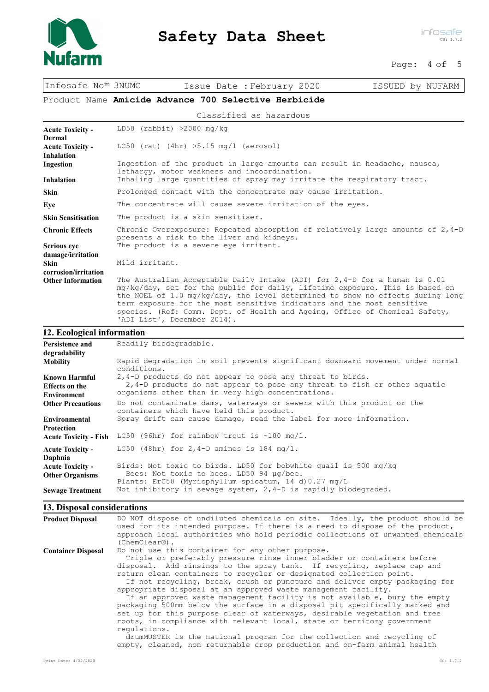

Page: 4 of 5

| Infosafe No™ 3NUMC                                                              | Issue Date : February 2020<br>ISSUED by NUFARM                                                                                                                                                                                                                                                                                                                                                                                           |  |  |  |
|---------------------------------------------------------------------------------|------------------------------------------------------------------------------------------------------------------------------------------------------------------------------------------------------------------------------------------------------------------------------------------------------------------------------------------------------------------------------------------------------------------------------------------|--|--|--|
|                                                                                 | Product Name Amicide Advance 700 Selective Herbicide                                                                                                                                                                                                                                                                                                                                                                                     |  |  |  |
|                                                                                 | Classified as hazardous                                                                                                                                                                                                                                                                                                                                                                                                                  |  |  |  |
| <b>Acute Toxicity -</b><br><b>Dermal</b><br><b>Acute Toxicity -</b>             | $LD50$ (rabbit) >2000 mg/kg<br>LC50 (rat) $(4hr)$ >5.15 mg/l (aerosol)                                                                                                                                                                                                                                                                                                                                                                   |  |  |  |
| <b>Inhalation</b><br>Ingestion<br><b>Inhalation</b>                             | Ingestion of the product in large amounts can result in headache, nausea,<br>lethargy, motor weakness and incoordination.<br>Inhaling large quantities of spray may irritate the respiratory tract.                                                                                                                                                                                                                                      |  |  |  |
| <b>Skin</b>                                                                     | Prolonged contact with the concentrate may cause irritation.                                                                                                                                                                                                                                                                                                                                                                             |  |  |  |
| Eye                                                                             | The concentrate will cause severe irritation of the eyes.                                                                                                                                                                                                                                                                                                                                                                                |  |  |  |
| <b>Skin Sensitisation</b>                                                       | The product is a skin sensitiser.                                                                                                                                                                                                                                                                                                                                                                                                        |  |  |  |
| <b>Chronic Effects</b>                                                          | Chronic Overexposure: Repeated absorption of relatively large amounts of $2,4-D$<br>presents a risk to the liver and kidneys.                                                                                                                                                                                                                                                                                                            |  |  |  |
| <b>Serious eye</b><br>damage/irritation<br><b>Skin</b>                          | The product is a severe eye irritant.<br>Mild irritant.                                                                                                                                                                                                                                                                                                                                                                                  |  |  |  |
| corrosion/irritation<br><b>Other Information</b>                                | The Australian Acceptable Daily Intake (ADI) for $2,4-D$ for a human is $0.01$<br>mg/kg/day, set for the public for daily, lifetime exposure. This is based on<br>the NOEL of 1.0 mg/kg/day, the level determined to show no effects during long<br>term exposure for the most sensitive indicators and the most sensitive<br>species. (Ref: Comm. Dept. of Health and Ageing, Office of Chemical Safety,<br>'ADI List', December 2014). |  |  |  |
| 12. Ecological information                                                      |                                                                                                                                                                                                                                                                                                                                                                                                                                          |  |  |  |
| <b>Persistence and</b><br>degradability                                         | Readily biodegradable.                                                                                                                                                                                                                                                                                                                                                                                                                   |  |  |  |
| <b>Mobility</b><br>Known Harmful<br><b>Effects</b> on the<br><b>Environment</b> | Rapid degradation in soil prevents significant downward movement under normal<br>conditions.<br>2,4-D products do not appear to pose any threat to birds.<br>2,4-D products do not appear to pose any threat to fish or other aquatic<br>organisms other than in very high concentrations.                                                                                                                                               |  |  |  |
| <b>Other Precautions</b><br><b>Environmental</b><br><b>Protection</b>           | Do not contaminate dams, waterways or sewers with this product or the<br>containers which have held this product.<br>Spray drift can cause damage, read the label for more information.                                                                                                                                                                                                                                                  |  |  |  |
| <b>Acute Toxicity - Fish</b>                                                    | LC50 (96hr) for rainbow trout is $\sim$ 100 mg/l.                                                                                                                                                                                                                                                                                                                                                                                        |  |  |  |
| <b>Acute Toxicity -</b><br>Daphnia                                              | LC50 (48hr) for $2,4-D$ amines is 184 mg/l.                                                                                                                                                                                                                                                                                                                                                                                              |  |  |  |
| <b>Acute Toxicity -</b><br><b>Other Organisms</b>                               | Birds: Not toxic to birds. LD50 for bobwhite quail is 500 mg/kg<br>Bees: Not toxic to bees. LD50 94 µq/bee.<br>Plants: ErC50 (Myriophyllum spicatum, 14 d) 0.27 mg/L                                                                                                                                                                                                                                                                     |  |  |  |

## **13. Disposal considerations**

| <b>Product Disposal</b>   | DO NOT dispose of undiluted chemicals on site. Ideally, the product should be<br>used for its intended purpose. If there is a need to dispose of the product,<br>approach local authorities who hold periodic collections of unwanted chemicals<br>$(ChemClear@)$ .                                                                                                                                                                                                                                                                                                                                                                                                                                                                                                                                                                                                                                                    |
|---------------------------|------------------------------------------------------------------------------------------------------------------------------------------------------------------------------------------------------------------------------------------------------------------------------------------------------------------------------------------------------------------------------------------------------------------------------------------------------------------------------------------------------------------------------------------------------------------------------------------------------------------------------------------------------------------------------------------------------------------------------------------------------------------------------------------------------------------------------------------------------------------------------------------------------------------------|
| <b>Container Disposal</b> | Do not use this container for any other purpose.<br>Triple or preferably pressure rinse inner bladder or containers before<br>disposal. Add rinsings to the spray tank. If recycling, replace cap and<br>return clean containers to recycler or designated collection point.<br>If not recycling, break, crush or puncture and deliver empty packaging for<br>appropriate disposal at an approved waste management facility.<br>If an approved waste management facility is not available, bury the empty<br>packaging 500mm below the surface in a disposal pit specifically marked and<br>set up for this purpose clear of waterways, desirable vegetation and tree<br>roots, in compliance with relevant local, state or territory government<br>requlations.<br>drumMUSTER is the national program for the collection and recycling of<br>empty, cleaned, non returnable crop production and on-farm animal health |
| Print Date: 4/02/2020     | CS: 1.7.2                                                                                                                                                                                                                                                                                                                                                                                                                                                                                                                                                                                                                                                                                                                                                                                                                                                                                                              |

**Sewage Treatment** Not inhibitory in sewage system, 2,4-D is rapidly biodegraded.